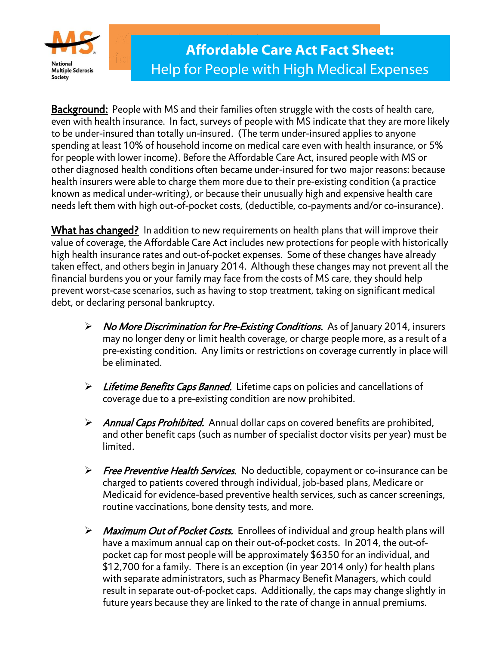

**Background:** People with MS and their families often struggle with the costs of health care, even with health insurance. In fact, surveys of people with MS indicate that they are more likely to be under-insured than totally un-insured. (The term under-insured applies to anyone spending at least 10% of household income on medical care even with health insurance, or 5% for people with lower income). Before the Affordable Care Act, insured people with MS or other diagnosed health conditions often became under-insured for two major reasons: because health insurers were able to charge them more due to their pre-existing condition (a practice known as medical under-writing), or because their unusually high and expensive health care needs left them with high out-of-pocket costs, (deductible, co-payments and/or co-insurance).

What has changed? In addition to new requirements on health plans that will improve their value of coverage, the Affordable Care Act includes new protections for people with historically high health insurance rates and out-of-pocket expenses. Some of these changes have already taken effect, and others begin in January 2014. Although these changes may not prevent all the financial burdens you or your family may face from the costs of MS care, they should help prevent worst-case scenarios, such as having to stop treatment, taking on significant medical debt, or declaring personal bankruptcy.

- ▶ No More Discrimination for Pre-Existing Conditions. As of January 2014, insurers may no longer deny or limit health coverage, or charge people more, as a result of a pre-existing condition. Any limits or restrictions on coverage currently in place will be eliminated.
- $\triangleright$  Lifetime Benefits Caps Banned. Lifetime caps on policies and cancellations of coverage due to a pre-existing condition are now prohibited.
- $\triangleright$  Annual Caps Prohibited. Annual dollar caps on covered benefits are prohibited, and other benefit caps (such as number of specialist doctor visits per year) must be limited.
- Free Preventive Health Services. No deductible, copayment or co-insurance can be charged to patients covered through individual, job-based plans, Medicare or Medicaid for evidence-based preventive health services, such as cancer screenings, routine vaccinations, bone density tests, and more.
- > Maximum Out of Pocket Costs. Enrollees of individual and group health plans will have a maximum annual cap on their out-of-pocket costs. In 2014, the out-ofpocket cap for most people will be approximately \$6350 for an individual, and \$12,700 for a family. There is an exception (in year 2014 only) for health plans with separate administrators, such as Pharmacy Benefit Managers, which could result in separate out-of-pocket caps. Additionally, the caps may change slightly in future years because they are linked to the rate of change in annual premiums.